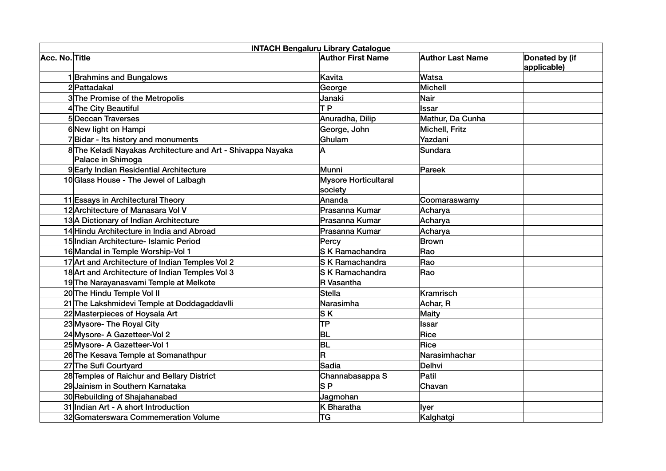|                | <b>INTACH Bengaluru Library Catalogue</b>                                        |                                        |                         |                               |  |  |
|----------------|----------------------------------------------------------------------------------|----------------------------------------|-------------------------|-------------------------------|--|--|
| Acc. No. Title |                                                                                  | <b>Author First Name</b>               | <b>Author Last Name</b> | Donated by (if<br>applicable) |  |  |
|                | 1 Brahmins and Bungalows                                                         | Kavita                                 | Watsa                   |                               |  |  |
|                | 2 Pattadakal                                                                     | George                                 | Michell                 |                               |  |  |
|                | 3 The Promise of the Metropolis                                                  | Janaki                                 | Nair                    |                               |  |  |
|                | 4 The City Beautiful                                                             | <b>TP</b>                              | Issar                   |                               |  |  |
|                | 5 Deccan Traverses                                                               | Anuradha, Dilip                        | Mathur, Da Cunha        |                               |  |  |
|                | 6 New light on Hampi                                                             | George, John                           | Michell, Fritz          |                               |  |  |
|                | 7Bidar - Its history and monuments                                               | Ghulam                                 | Yazdani                 |                               |  |  |
|                | 8 The Keladi Nayakas Architecture and Art - Shivappa Nayaka<br>Palace in Shimoga | A                                      | Sundara                 |                               |  |  |
|                | 9 Early Indian Residential Architecture                                          | Munni                                  | Pareek                  |                               |  |  |
|                | 10 Glass House - The Jewel of Lalbagh                                            | <b>Mysore Horticultaral</b><br>society |                         |                               |  |  |
|                | 11 Essays in Architectural Theory                                                | Ananda                                 | Coomaraswamy            |                               |  |  |
|                | 12 Architecture of Manasara Vol V                                                | Prasanna Kumar                         | Acharya                 |                               |  |  |
|                | 13 A Dictionary of Indian Architecture                                           | Prasanna Kumar                         | Acharya                 |                               |  |  |
|                | 14 Hindu Architecture in India and Abroad                                        | Prasanna Kumar                         | Acharya                 |                               |  |  |
|                | 15 Indian Architecture - Islamic Period                                          | Percy                                  | Brown                   |                               |  |  |
|                | 16 Mandal in Temple Worship-Vol 1                                                | <b>S K Ramachandra</b>                 | Rao                     |                               |  |  |
|                | 17 Art and Architecture of Indian Temples Vol 2                                  | <b>S K Ramachandra</b>                 | Rao                     |                               |  |  |
|                | 18 Art and Architecture of Indian Temples Vol 3                                  | <b>SK Ramachandra</b>                  | Rao                     |                               |  |  |
|                | 19 The Narayanasvami Temple at Melkote                                           | R Vasantha                             |                         |                               |  |  |
|                | 20 The Hindu Temple Vol II                                                       | <b>Stella</b>                          | Kramrisch               |                               |  |  |
|                | 21 The Lakshmidevi Temple at Doddagaddavlli                                      | Narasimha                              | Achar, R                |                               |  |  |
|                | 22 Masterpieces of Hoysala Art                                                   | <b>SK</b>                              | Maity                   |                               |  |  |
|                | 23 Mysore- The Royal City                                                        | <b>TP</b>                              | <b>Issar</b>            |                               |  |  |
|                | 24 Mysore- A Gazetteer-Vol 2                                                     | <b>BL</b>                              | Rice                    |                               |  |  |
|                | 25 Mysore- A Gazetteer-Vol 1                                                     | <b>BL</b>                              | Rice                    |                               |  |  |
|                | 26 The Kesava Temple at Somanathpur                                              | R                                      | Narasimhachar           |                               |  |  |
|                | 27 The Sufi Courtyard                                                            | Sadia                                  | Delhvi                  |                               |  |  |
|                | 28 Temples of Raichur and Bellary District                                       | Channabasappa S                        | Patil                   |                               |  |  |
|                | 29 Jainism in Southern Karnataka                                                 | S <sub>P</sub>                         | Chavan                  |                               |  |  |
|                | 30 Rebuilding of Shajahanabad                                                    | Jagmohan                               |                         |                               |  |  |
|                | 31 Indian Art - A short Introduction                                             | K Bharatha                             | lyer                    |                               |  |  |
|                | 32 Gomaterswara Commemeration Volume                                             | <b>TG</b>                              | Kalghatgi               |                               |  |  |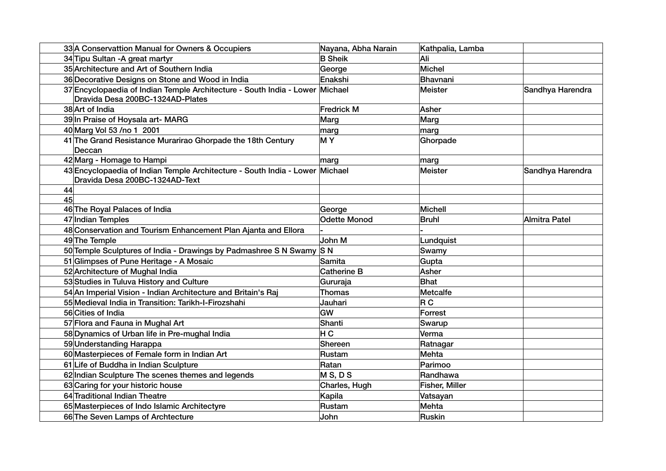| 33 A Conservattion Manual for Owners & Occupiers                                                                 | Nayana, Abha Narain | Kathpalia, Lamba |                  |
|------------------------------------------------------------------------------------------------------------------|---------------------|------------------|------------------|
| 34 Tipu Sultan - A great martyr                                                                                  | <b>B</b> Sheik      | Ali              |                  |
| 35 Architecture and Art of Southern India                                                                        | George              | <b>Michel</b>    |                  |
| 36 Decorative Designs on Stone and Wood in India                                                                 | Enakshi             | Bhavnani         |                  |
| 37 Encyclopaedia of Indian Temple Architecture - South India - Lower Michael<br>Dravida Desa 200BC-1324AD-Plates |                     | Meister          | Sandhya Harendra |
| 38 Art of India                                                                                                  | <b>Fredrick M</b>   | Asher            |                  |
| 39 In Praise of Hoysala art- MARG                                                                                | Marg                | Marg             |                  |
| 40 Marg Vol 53 /no 1 2001                                                                                        | marg                | marg             |                  |
| 41 The Grand Resistance Murarirao Ghorpade the 18th Century<br>Deccan                                            | MY                  | Ghorpade         |                  |
| 42 Marg - Homage to Hampi                                                                                        | marg                | marg             |                  |
| 43 Encyclopaedia of Indian Temple Architecture - South India - Lower Michael<br>Dravida Desa 200BC-1324AD-Text   |                     | Meister          | Sandhya Harendra |
| 44                                                                                                               |                     |                  |                  |
| 45                                                                                                               |                     |                  |                  |
| 46 The Royal Palaces of India                                                                                    | George              | Michell          |                  |
| 47 Indian Temples                                                                                                | <b>Odette Monod</b> | Bruhl            | Almitra Patel    |
| 48 Conservation and Tourism Enhancement Plan Ajanta and Ellora                                                   |                     |                  |                  |
| 49 The Temple                                                                                                    | John M              | Lundquist        |                  |
| 50 Temple Sculptures of India - Drawings by Padmashree S N Swamy S N                                             |                     | Swamy            |                  |
| 51 Glimpses of Pune Heritage - A Mosaic                                                                          | Samita              | Gupta            |                  |
| 52 Architecture of Mughal India                                                                                  | <b>Catherine B</b>  | Asher            |                  |
| 53 Studies in Tuluva History and Culture                                                                         | Gururaja            | Bhat             |                  |
| 54 An Imperial Vision - Indian Architecture and Britain's Raj                                                    | <b>Thomas</b>       | Metcalfe         |                  |
| 55 Medieval India in Transition: Tarikh-I-Firozshahi                                                             | Jauhari             | R C              |                  |
| 56 Cities of India                                                                                               | GW                  | Forrest          |                  |
| 57 Flora and Fauna in Mughal Art                                                                                 | Shanti              | Swarup           |                  |
| 58 Dynamics of Urban life in Pre-mughal India                                                                    | H C                 | Verma            |                  |
| 59 Understanding Harappa                                                                                         | Shereen             | Ratnagar         |                  |
| 60 Masterpieces of Female form in Indian Art                                                                     | Rustam              | Mehta            |                  |
| 61 Life of Buddha in Indian Sculpture                                                                            | Ratan               | Parimoo          |                  |
| 62 Indian Sculpture The scenes themes and legends                                                                | MS, DS              | Randhawa         |                  |
| 63 Caring for your historic house                                                                                | Charles, Hugh       | Fisher, Miller   |                  |
| 64 Traditional Indian Theatre                                                                                    | Kapila              | Vatsayan         |                  |
| 65 Masterpieces of Indo Islamic Architectyre                                                                     | Rustam              | Mehta            |                  |
| 66 The Seven Lamps of Archtecture                                                                                | John                | Ruskin           |                  |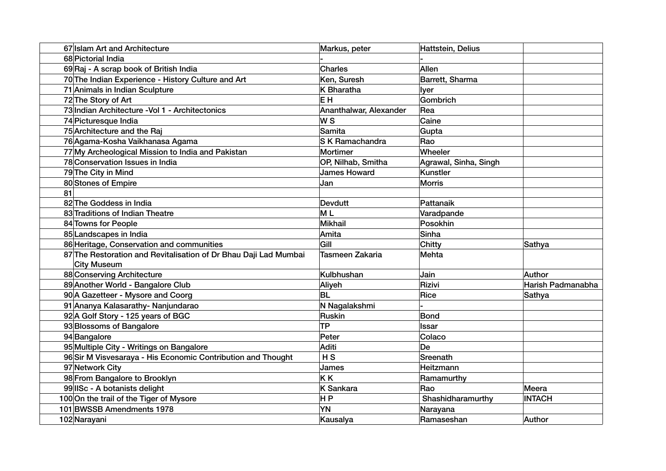|    | 67 Islam Art and Architecture                                    | Markus, peter          | Hattstein, Delius     |                   |
|----|------------------------------------------------------------------|------------------------|-----------------------|-------------------|
|    | 68 Pictorial India                                               |                        |                       |                   |
|    | 69 Raj - A scrap book of British India                           | Charles                | Allen                 |                   |
|    | 70 The Indian Experience - History Culture and Art               | Ken, Suresh            | Barrett, Sharma       |                   |
|    | 71 Animals in Indian Sculpture                                   | K Bharatha             | <b>Iver</b>           |                   |
|    | 72 The Story of Art                                              | EΗ                     | Gombrich              |                   |
|    | 73 Indian Architecture - Vol 1 - Architectonics                  | Ananthalwar, Alexander | Rea                   |                   |
|    | 74 Picturesque India                                             | W S                    | Caine                 |                   |
|    | 75 Architecture and the Raj                                      | Samita                 | Gupta                 |                   |
|    | 76 Agama-Kosha Vaikhanasa Agama                                  | <b>S K Ramachandra</b> | Rao                   |                   |
|    | 77 My Archeological Mission to India and Pakistan                | Mortimer               | Wheeler               |                   |
|    | 78 Conservation Issues in India                                  | OP, Nilhab, Smitha     | Agrawal, Sinha, Singh |                   |
|    | 79 The City in Mind                                              | <b>James Howard</b>    | Kunstler              |                   |
|    | 80 Stones of Empire                                              | Jan                    | Morris                |                   |
| 81 |                                                                  |                        |                       |                   |
|    | 82 The Goddess in India                                          | Devdutt                | Pattanaik             |                   |
|    | 83 Traditions of Indian Theatre                                  | M <sub>L</sub>         | Varadpande            |                   |
|    | 84 Towns for People                                              | Mikhail                | Posokhin              |                   |
|    | 85 Landscapes in India                                           | Amita                  | Sinha                 |                   |
|    | 86 Heritage, Conservation and communities                        | Gill                   | Chitty                | Sathya            |
|    | 87 The Restoration and Revitalisation of Dr Bhau Daji Lad Mumbai | Tasmeen Zakaria        | Mehta                 |                   |
|    | City Museum                                                      |                        |                       |                   |
|    | 88 Conserving Architecture                                       | Kulbhushan             | Jain                  | Author            |
|    | 89 Another World - Bangalore Club                                | Aliyeh                 | Rizivi                | Harish Padmanabha |
|    | 90 A Gazetteer - Mysore and Coorg                                | <b>BL</b>              | Rice                  | Sathya            |
|    | 91 Ananya Kalasarathy- Nanjundarao                               | N Nagalakshmi          |                       |                   |
|    | 92 A Golf Story - 125 years of BGC                               | Ruskin                 | Bond                  |                   |
|    | 93 Blossoms of Bangalore                                         | TP                     | <b>Issar</b>          |                   |
|    | 94 Bangalore                                                     | Peter                  | Colaco                |                   |
|    | 95 Multiple City - Writings on Bangalore                         | Aditi                  | De                    |                   |
|    | 96 Sir M Visvesaraya - His Economic Contribution and Thought     | H <sub>S</sub>         | Sreenath              |                   |
|    | 97 Network City                                                  | James                  | Heitzmann             |                   |
|    | 98 From Bangalore to Brooklyn                                    | KK                     | Ramamurthy            |                   |
|    | 99 IISc - A botanists delight                                    | K Sankara              | Rao                   | Meera             |
|    | 100 On the trail of the Tiger of Mysore                          | H P                    | Shashidharamurthy     | <b>INTACH</b>     |
|    | 101 BWSSB Amendments 1978                                        | <b>YN</b>              | Narayana              |                   |
|    | 102 Narayani                                                     | Kausalya               | Ramaseshan            | Author            |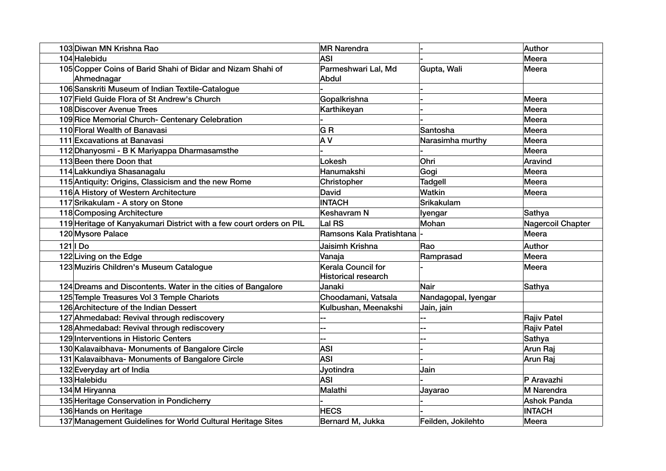| 103 Diwan MN Krishna Rao                                            | <b>MR Narendra</b>         |                     | Author                   |
|---------------------------------------------------------------------|----------------------------|---------------------|--------------------------|
| 104 Halebidu                                                        | <b>ASI</b>                 |                     | Meera                    |
| 105 Copper Coins of Barid Shahi of Bidar and Nizam Shahi of         | Parmeshwari Lal, Md        | Gupta, Wali         | Meera                    |
| Ahmednagar                                                          | Abdul                      |                     |                          |
| 106 Sanskriti Museum of Indian Textile-Catalogue                    |                            |                     |                          |
| 107 Field Guide Flora of St Andrew's Church                         | Gopalkrishna               |                     | Meera                    |
| 108 Discover Avenue Trees                                           | Karthikeyan                |                     | Meera                    |
| 109 Rice Memorial Church- Centenary Celebration                     |                            |                     | Meera                    |
| 110 Floral Wealth of Banavasi                                       | GR                         | Santosha            | <b>Meera</b>             |
| 111 Excavations at Banavasi                                         | A V                        | Narasimha murthy    | <b>Meera</b>             |
| 112 Dhanyosmi - B K Mariyappa Dharmasamsthe                         |                            |                     | Meera                    |
| 113 Been there Doon that                                            | Lokesh                     | Ohri                | Aravind                  |
| 114 Lakkundiya Shasanagalu                                          | Hanumakshi                 | Gogi                | Meera                    |
| 115 Antiquity: Origins, Classicism and the new Rome                 | Christopher                | Tadgell             | Meera                    |
| 116 A History of Western Architecture                               | <b>David</b>               | <b>Watkin</b>       | Meera                    |
| 117 Srikakulam - A story on Stone                                   | <b>INTACH</b>              | Srikakulam          |                          |
| 118 Composing Architecture                                          | <b>Keshavram N</b>         | lyengar             | Sathya                   |
| 119 Heritage of Kanyakumari District with a few court orders on PIL | Lal RS                     | Mohan               | <b>Nagercoil Chapter</b> |
| 120 Mysore Palace                                                   | Ramsons Kala Pratishtana   |                     | Meera                    |
| $121$   Do                                                          | Jaisimh Krishna            | Rao                 | Author                   |
| 122 Living on the Edge                                              | Vanaja                     | Ramprasad           | Meera                    |
| 123 Muziris Children's Museum Catalogue                             | Kerala Council for         |                     | Meera                    |
|                                                                     | <b>Historical research</b> |                     |                          |
| 124 Dreams and Discontents. Water in the cities of Bangalore        | Janaki                     | Nair                | Sathya                   |
| 125 Temple Treasures Vol 3 Temple Chariots                          | Choodamani, Vatsala        | Nandagopal, lyengar |                          |
| 126 Architecture of the Indian Dessert                              | Kulbushan, Meenakshi       | Jain, jain          |                          |
| 127 Ahmedabad: Revival through rediscovery                          |                            |                     | <b>Rajiv Patel</b>       |
| 128 Ahmedabad: Revival through rediscovery                          |                            |                     | <b>Rajiv Patel</b>       |
| 129 Interventions in Historic Centers                               |                            |                     | Sathya                   |
| 130 Kalavaibhava- Monuments of Bangalore Circle                     | <b>ASI</b>                 |                     | Arun Raj                 |
| 131 Kalavaibhava- Monuments of Bangalore Circle                     | <b>ASI</b>                 |                     | Arun Raj                 |
| 132 Everyday art of India                                           | Jyotindra                  | Jain                |                          |
| 133 Halebidu                                                        | <b>ASI</b>                 |                     | P Aravazhi               |
| 134M Hiryanna                                                       | Malathi                    | Jayarao             | M Narendra               |
| 135 Heritage Conservation in Pondicherry                            |                            |                     | <b>Ashok Panda</b>       |
| 136 Hands on Heritage                                               | <b>HECS</b>                |                     | <b>INTACH</b>            |
| 137 Management Guidelines for World Cultural Heritage Sites         | Bernard M, Jukka           | Feilden, Jokilehto  | Meera                    |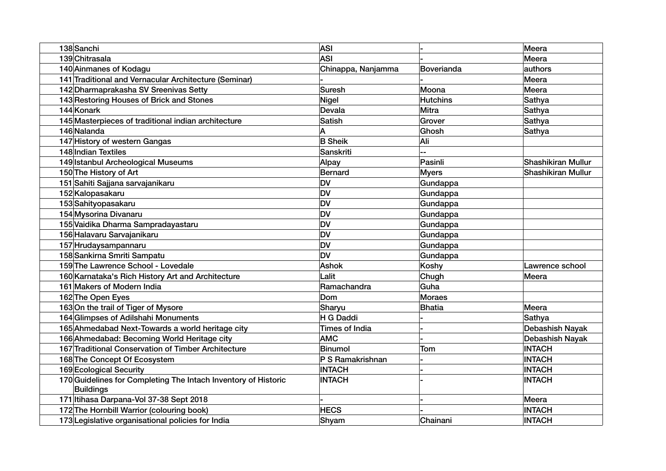| 138 Sanchi                                                                         | <b>ASI</b>            |                 | Meera                     |
|------------------------------------------------------------------------------------|-----------------------|-----------------|---------------------------|
| 139 Chitrasala                                                                     | <b>ASI</b>            |                 | Meera                     |
| 140 Ainmanes of Kodagu                                                             | Chinappa, Nanjamma    | Boverianda      | authors                   |
| 141 Traditional and Vernacular Architecture (Seminar)                              |                       |                 | Meera                     |
| 142 Dharmaprakasha SV Sreenivas Setty                                              | Suresh                | Moona           | Meera                     |
| 143 Restoring Houses of Brick and Stones                                           | Nigel                 | <b>Hutchins</b> | Sathya                    |
| 144 Konark                                                                         | Devala                | <b>Mitra</b>    | Sathya                    |
| 145 Masterpieces of traditional indian architecture                                | <b>Satish</b>         | Grover          | <b>Sathya</b>             |
| 146 Nalanda                                                                        | A                     | Ghosh           | <b>Sathya</b>             |
| 147 History of western Gangas                                                      | <b>B</b> Sheik        | Ali             |                           |
| 148 Indian Textiles                                                                | Sanskriti             |                 |                           |
| 149 Istanbul Archeological Museums                                                 | Alpay                 | Pasinli         | <b>Shashikiran Mullur</b> |
| 150 The History of Art                                                             | Bernard               | <b>Myers</b>    | Shashikiran Mullur        |
| 151 Sahiti Sajjana sarvajanikaru                                                   | <b>DV</b>             | Gundappa        |                           |
| 152 Kalopasakaru                                                                   | <b>DV</b>             | Gundappa        |                           |
| 153 Sahityopasakaru                                                                | <b>DV</b>             | Gundappa        |                           |
| 154 Mysorina Divanaru                                                              | <b>DV</b>             | Gundappa        |                           |
| 155 Vaidika Dharma Sampradayastaru                                                 | <b>DV</b>             | Gundappa        |                           |
| 156 Halavaru Sarvajanikaru                                                         | <b>DV</b>             | Gundappa        |                           |
| 157 Hrudaysampannaru                                                               | <b>DV</b>             | Gundappa        |                           |
| 158 Sankirna Smriti Sampatu                                                        | <b>DV</b>             | Gundappa        |                           |
| 159 The Lawrence School - Lovedale                                                 | <b>Ashok</b>          | Koshy           | Lawrence school           |
| 160 Karnataka's Rich History Art and Architecture                                  | Lalit                 | Chugh           | Meera                     |
| 161 Makers of Modern India                                                         | Ramachandra           | Guha            |                           |
| 162 The Open Eyes                                                                  | Dom                   | <b>Moraes</b>   |                           |
| 163 On the trail of Tiger of Mysore                                                | Sharyu                | <b>Bhatia</b>   | Meera                     |
| 164 Glimpses of Adilshahi Monuments                                                | H G Daddi             |                 | Sathya                    |
| 165 Ahmedabad Next-Towards a world heritage city                                   | <b>Times of India</b> |                 | Debashish Nayak           |
| 166 Ahmedabad: Becoming World Heritage city                                        | <b>AMC</b>            |                 | Debashish Nayak           |
| 167 Traditional Conservation of Timber Architecture                                | Binumol               | Tom             | <b>INTACH</b>             |
| 168 The Concept Of Ecosystem                                                       | P S Ramakrishnan      |                 | <b>INTACH</b>             |
| 169 Ecological Security                                                            | <b>INTACH</b>         |                 | <b>INTACH</b>             |
| 170 Guidelines for Completing The Intach Inventory of Historic<br><b>Buildings</b> | <b>INTACH</b>         |                 | <b>INTACH</b>             |
| 171 Itihasa Darpana-Vol 37-38 Sept 2018                                            |                       |                 | Meera                     |
| 172 The Hornbill Warrior (colouring book)                                          | <b>HECS</b>           |                 | <b>INTACH</b>             |
| 173 Legislative organisational policies for India                                  | Shyam                 | Chainani        | <b>INTACH</b>             |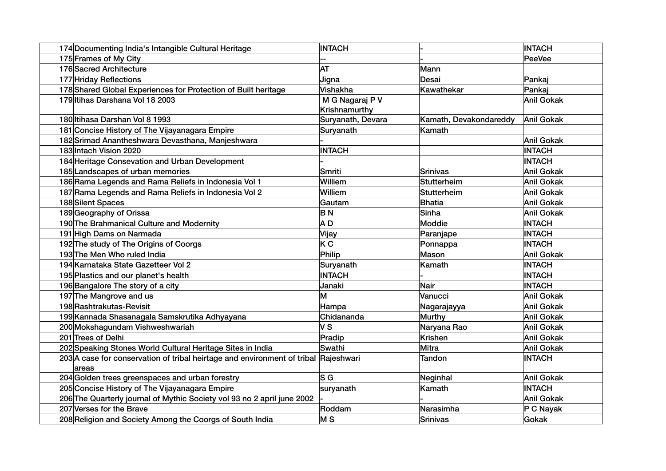| 174 Documenting India's Intangible Cultural Heritage                                | <b>INTACH</b>             |                        | <b>INTACH</b>     |
|-------------------------------------------------------------------------------------|---------------------------|------------------------|-------------------|
| 175 Frames of My City                                                               |                           |                        | PeeVee            |
| 176 Sacred Architecture                                                             | <b>AT</b>                 | Mann                   |                   |
| 177 Hriday Reflections                                                              | Jigna                     | Desai                  | Pankaj            |
| 178 Shared Global Experiences for Protection of Built heritage                      | Vishakha                  | Kawathekar             | Pankaj            |
| 179 Itihas Darshana Vol 18 2003                                                     | M G Nagaraj P V           |                        | Anil Gokak        |
|                                                                                     | Krishnamurthy             |                        |                   |
| 180 Itihasa Darshan Vol 8 1993                                                      | Suryanath, Devara         | Kamath, Devakondareddy | Anil Gokak        |
| 181 Concise History of The Vijayanagara Empire                                      | Suryanath                 | Kamath                 |                   |
| 182 Srimad Anantheshwara Devasthana, Manjeshwara                                    |                           |                        | <b>Anil Gokak</b> |
| 183 Intach Vision 2020                                                              | <b>INTACH</b>             |                        | <b>INTACH</b>     |
| 184 Heritage Consevation and Urban Development                                      |                           |                        | <b>INTACH</b>     |
| 185 Landscapes of urban memories                                                    | Smriti                    | Srinivas               | Anil Gokak        |
| 186 Rama Legends and Rama Reliefs in Indonesia Vol 1                                | Williem                   | Stutterheim            | Anil Gokak        |
| 187 Rama Legends and Rama Reliefs in Indonesia Vol 2                                | Williem                   | Stutterheim            | Anil Gokak        |
| 188 Silent Spaces                                                                   | Gautam                    | Bhatia                 | Anil Gokak        |
| 189 Geography of Orissa                                                             | <b>BN</b>                 | Sinha                  | Anil Gokak        |
| 190 The Brahmanical Culture and Modernity                                           | A D                       | Moddie                 | <b>INTACH</b>     |
| 191 High Dams on Narmada                                                            | Vijay                     | Paranjape              | <b>INTACH</b>     |
| 192 The study of The Origins of Coorgs                                              | K C                       | Ponnappa               | <b>INTACH</b>     |
| 193 The Men Who ruled India                                                         | Philip                    | Mason                  | Anil Gokak        |
| 194 Karnataka State Gazetteer Vol 2                                                 | Suryanath                 | Kamath                 | <b>INTACH</b>     |
| 195 Plastics and our planet's health                                                | <b>INTACH</b>             |                        | <b>INTACH</b>     |
| 196 Bangalore The story of a city                                                   | Janaki                    | Nair                   | <b>INTACH</b>     |
| 197 The Mangrove and us                                                             | M                         | Vanucci                | Anil Gokak        |
| 198 Rashtrakutas-Revisit                                                            | Hampa                     | Nagarajayya            | <b>Anil Gokak</b> |
| 199 Kannada Shasanagala Samskrutika Adhyayana                                       | Chidananda                | <b>Murthy</b>          | Anil Gokak        |
| 200 Mokshagundam Vishweshwariah                                                     | <b>VS</b>                 | Naryana Rao            | Anil Gokak        |
| 201 Trees of Delhi                                                                  | Pradip                    | <b>Krishen</b>         | Anil Gokak        |
| 202 Speaking Stones World Cultural Heritage Sites in India                          | Swathi                    | Mitra                  | Anil Gokak        |
| 203 A case for conservation of tribal heirtage and environment of tribal Rajeshwari |                           | <b>Tandon</b>          | <b>INTACH</b>     |
| areas                                                                               |                           |                        |                   |
| 204 Golden trees greenspaces and urban forestry                                     | $\overline{\mathsf{s}}$ G | Neginhal               | Anil Gokak        |
| 205 Concise History of The Vijayanagara Empire                                      | suryanath                 | Kamath                 | <b>INTACH</b>     |
| 206 The Quarterly journal of Mythic Society vol 93 no 2 april june 2002             |                           |                        | Anil Gokak        |
| 207 Verses for the Brave                                                            | Roddam                    | Narasimha              | P C Nayak         |
| 208 Religion and Society Among the Coorgs of South India                            | M <sub>S</sub>            | Srinivas               | Gokak             |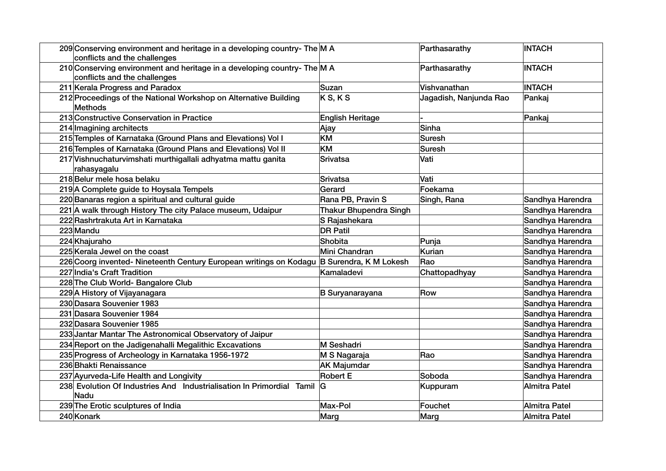| 209 Conserving environment and heritage in a developing country- The M A<br>conflicts and the challenges |                               | Parthasarathy          | <b>INTACH</b>    |
|----------------------------------------------------------------------------------------------------------|-------------------------------|------------------------|------------------|
| 210 Conserving environment and heritage in a developing country- The M A<br>conflicts and the challenges |                               | Parthasarathy          | <b>INTACH</b>    |
| 211 Kerala Progress and Paradox                                                                          | Suzan                         | Vishvanathan           | <b>INTACH</b>    |
| 212 Proceedings of the National Workshop on Alternative Building<br>Methods                              | K S, K S                      | Jagadish, Nanjunda Rao | Pankaj           |
| 213 Constructive Conservation in Practice                                                                | <b>English Heritage</b>       |                        | Pankaj           |
| 214 Imagining architects                                                                                 | Ajay                          | Sinha                  |                  |
| 215 Temples of Karnataka (Ground Plans and Elevations) Vol I                                             | KM                            | <b>Suresh</b>          |                  |
| 216 Temples of Karnataka (Ground Plans and Elevations) Vol II                                            | <b>KM</b>                     | Suresh                 |                  |
| 217 Vishnuchaturvimshati murthigallali adhyatma mattu ganita<br>rahasyagalu                              | <b>Srivatsa</b>               | Vati                   |                  |
| 218 Belur mele hosa belaku                                                                               | <b>Srivatsa</b>               | Vati                   |                  |
| 219 A Complete guide to Hoysala Tempels                                                                  | Gerard                        | Foekama                |                  |
| 220 Banaras region a spiritual and cultural guide                                                        | Rana PB, Pravin S             | Singh, Rana            | Sandhya Harendra |
| 221 A walk through History The city Palace museum, Udaipur                                               | <b>Thakur Bhupendra Singh</b> |                        | Sandhya Harendra |
| 222 Rashrtrakuta Art in Karnataka                                                                        | S Rajashekara                 |                        | Sandhya Harendra |
| 223 Mandu                                                                                                | <b>DR Patil</b>               |                        | Sandhya Harendra |
| 224 Khajuraho                                                                                            | Shobita                       | Punja                  | Sandhya Harendra |
| 225 Kerala Jewel on the coast                                                                            | Mini Chandran                 | <b>Kurian</b>          | Sandhya Harendra |
| 226 Coorg invented- Nineteenth Century European writings on Kodagu B Surendra, K M Lokesh                |                               | Rao                    | Sandhya Harendra |
| 227 India's Craft Tradition                                                                              | Kamaladevi                    | Chattopadhyay          | Sandhya Harendra |
| 228 The Club World- Bangalore Club                                                                       |                               |                        | Sandhya Harendra |
| 229 A History of Vijayanagara                                                                            | <b>B</b> Suryanarayana        | Row                    | Sandhya Harendra |
| 230 Dasara Souvenier 1983                                                                                |                               |                        | Sandhya Harendra |
| 231 Dasara Souvenier 1984                                                                                |                               |                        | Sandhya Harendra |
| 232 Dasara Souvenier 1985                                                                                |                               |                        | Sandhya Harendra |
| 233 Jantar Mantar The Astronomical Observatory of Jaipur                                                 |                               |                        | Sandhya Harendra |
| 234 Report on the Jadigenahalli Megalithic Excavations                                                   | M Seshadri                    |                        | Sandhya Harendra |
| 235 Progress of Archeology in Karnataka 1956-1972                                                        | M S Nagaraja                  | Rao                    | Sandhya Harendra |
| 236 Bhakti Renaissance                                                                                   | <b>AK Majumdar</b>            |                        | Sandhya Harendra |
| 237 Ayurveda-Life Health and Longivity                                                                   | <b>Robert E</b>               | Soboda                 | Sandhya Harendra |
| 238 Evolution Of Industries And Industrialisation In Primordial Tamil<br>Nadu                            | IG                            | Kuppuram               | Almitra Patel    |
| 239 The Erotic sculptures of India                                                                       | Max-Pol                       | Fouchet                | Almitra Patel    |
| 240 Konark                                                                                               | Marg                          | Marg                   | Almitra Patel    |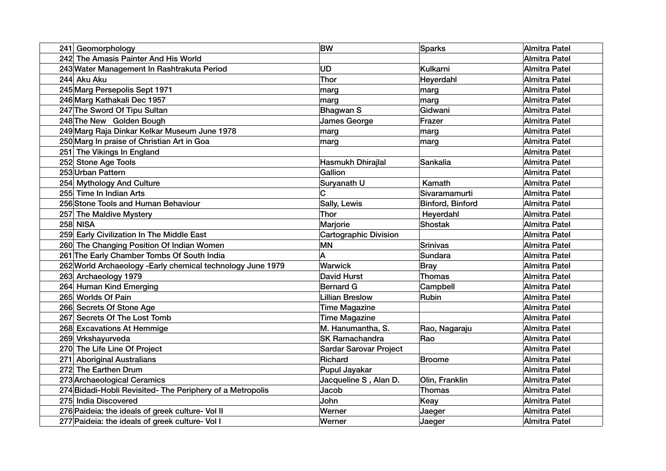| 241 Geomorphology                                           | <b>BW</b>                     | <b>Sparks</b>    | Almitra Patel |
|-------------------------------------------------------------|-------------------------------|------------------|---------------|
| 242 The Amasis Painter And His World                        |                               |                  | Almitra Patel |
| 243 Water Management In Rashtrakuta Period                  | <b>UD</b>                     | Kulkarni         | Almitra Patel |
| 244 Aku Aku                                                 | <b>Thor</b>                   | Heyerdahl        | Almitra Patel |
| 245 Marg Persepolis Sept 1971                               | marg                          | marg             | Almitra Patel |
| 246 Marg Kathakali Dec 1957                                 | marg                          | marg             | Almitra Patel |
| 247 The Sword Of Tipu Sultan                                | <b>Bhagwan S</b>              | Gidwani          | Almitra Patel |
| 248 The New Golden Bough                                    | <b>James George</b>           | Frazer           | Almitra Patel |
| 249 Marg Raja Dinkar Kelkar Museum June 1978                | marg                          | marq             | Almitra Patel |
| 250 Marg In praise of Christian Art in Goa                  | marg                          | marg             | Almitra Patel |
| 251 The Vikings In England                                  |                               |                  | Almitra Patel |
| 252 Stone Age Tools                                         | Hasmukh Dhirajlal             | Sankalia         | Almitra Patel |
| 253 Urban Pattern                                           | Gallion                       |                  | Almitra Patel |
| 254 Mythology And Culture                                   | Suryanath U                   | Kamath           | Almitra Patel |
| 255 Time In Indian Arts                                     | Ć                             | Sivaramamurti    | Almitra Patel |
| 256 Stone Tools and Human Behaviour                         | Sally, Lewis                  | Binford, Binford | Almitra Patel |
| 257 The Maldive Mystery                                     | <b>Thor</b>                   | Heyerdahl        | Almitra Patel |
| <b>258 NISA</b>                                             | Marjorie                      | <b>Shostak</b>   | Almitra Patel |
| 259 Early Civilization In The Middle East                   | <b>Cartographic Division</b>  |                  | Almitra Patel |
| 260 The Changing Position Of Indian Women                   | <b>MN</b>                     | <b>Srinivas</b>  | Almitra Patel |
| 261 The Early Chamber Tombs Of South India                  | A                             | Sundara          | Almitra Patel |
| 262 World Archaeology - Early chemical technology June 1979 | Warwick                       | <b>Bray</b>      | Almitra Patel |
| 263 Archaeology 1979                                        | <b>David Hurst</b>            | Thomas           | Almitra Patel |
| 264 Human Kind Emerging                                     | <b>Bernard G</b>              | Campbell         | Almitra Patel |
| 265 Worlds Of Pain                                          | <b>Lillian Breslow</b>        | Rubin            | Almitra Patel |
| 266 Secrets Of Stone Age                                    | <b>Time Magazine</b>          |                  | Almitra Patel |
| 267 Secrets Of The Lost Tomb                                | <b>Time Magazine</b>          |                  | Almitra Patel |
| 268 Excavations At Hemmige                                  | M. Hanumantha, S.             | Rao, Nagaraju    | Almitra Patel |
| 269 Vrkshayurveda                                           | <b>SK Ramachandra</b>         | Rao              | Almitra Patel |
| 270 The Life Line Of Project                                | <b>Sardar Sarovar Project</b> |                  | Almitra Patel |
| 271 Aboriginal Australians                                  | Richard                       | Broome           | Almitra Patel |
| 272 The Earthen Drum                                        | Pupul Jayakar                 |                  | Almitra Patel |
| 273 Archaeological Ceramics                                 | Jacqueline S, Alan D.         | Olin, Franklin   | Almitra Patel |
| 274 Bidadi-Hobli Revisited- The Periphery of a Metropolis   | Jacob                         | <b>Thomas</b>    | Almitra Patel |
| 275 India Discovered                                        | John                          | Keay             | Almitra Patel |
| 276 Paideia: the ideals of greek culture- Vol II            | Werner                        | Jaeger           | Almitra Patel |
| 277 Paideia: the ideals of greek culture- Vol I             | Werner                        | Jaeger           | Almitra Patel |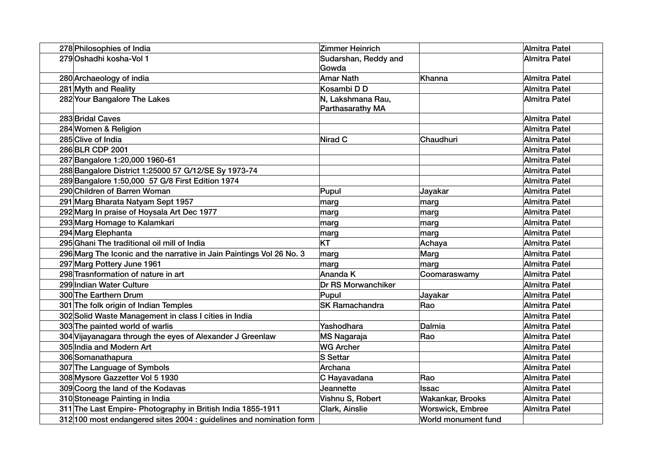| 278 Philosophies of India                                            | Zimmer Heinrich                       |                     | Almitra Patel |
|----------------------------------------------------------------------|---------------------------------------|---------------------|---------------|
| 279 Oshadhi kosha-Vol 1                                              | Sudarshan, Reddy and<br>Gowda         |                     | Almitra Patel |
| 280 Archaeology of india                                             | <b>Amar Nath</b>                      | Khanna              | Almitra Patel |
| 281 Myth and Reality                                                 | Kosambi D D                           |                     | Almitra Patel |
| 282 Your Bangalore The Lakes                                         | N, Lakshmana Rau,<br>Parthasarathy MA |                     | Almitra Patel |
| 283 Bridal Caves                                                     |                                       |                     | Almitra Patel |
| 284 Women & Religion                                                 |                                       |                     | Almitra Patel |
| 285 Clive of India                                                   | Nirad C                               | Chaudhuri           | Almitra Patel |
| 286 BLR CDP 2001                                                     |                                       |                     | Almitra Patel |
| 287 Bangalore 1:20,000 1960-61                                       |                                       |                     | Almitra Patel |
| 288 Bangalore District 1:25000 57 G/12/SE Sy 1973-74                 |                                       |                     | Almitra Patel |
| 289 Bangalore 1:50,000 57 G/8 First Edition 1974                     |                                       |                     | Almitra Patel |
| 290 Children of Barren Woman                                         | Pupul                                 | Jayakar             | Almitra Patel |
| 291 Marg Bharata Natyam Sept 1957                                    | marg                                  | marg                | Almitra Patel |
| 292 Marg In praise of Hoysala Art Dec 1977                           | marg                                  | marg                | Almitra Patel |
| 293 Marg Homage to Kalamkari                                         | marg                                  | marg                | Almitra Patel |
| 294 Marg Elephanta                                                   | marg                                  | marg                | Almitra Patel |
| 295 Ghani The traditional oil mill of India                          | KT                                    | Achaya              | Almitra Patel |
| 296 Marg The Iconic and the narrative in Jain Paintings Vol 26 No. 3 | marg                                  | Marg                | Almitra Patel |
| 297 Marg Pottery June 1961                                           | marg                                  | marg                | Almitra Patel |
| 298 Trasnformation of nature in art                                  | Ananda K                              | Coomaraswamy        | Almitra Patel |
| 299 Indian Water Culture                                             | <b>Dr RS Morwanchiker</b>             |                     | Almitra Patel |
| 300 The Earthern Drum                                                | Pupul                                 | Jayakar             | Almitra Patel |
| 301 The folk origin of Indian Temples                                | <b>SK Ramachandra</b>                 | Rao                 | Almitra Patel |
| 302 Solid Waste Management in class I cities in India                |                                       |                     | Almitra Patel |
| 303 The painted world of warlis                                      | Yashodhara                            | Dalmia              | Almitra Patel |
| 304 Vijayanagara through the eyes of Alexander J Greenlaw            | MS Nagaraja                           | Rao                 | Almitra Patel |
| 305 India and Modern Art                                             | <b>WG Archer</b>                      |                     | Almitra Patel |
| 306 Somanathapura                                                    | S Settar                              |                     | Almitra Patel |
| 307 The Language of Symbols                                          | Archana                               |                     | Almitra Patel |
| 308 Mysore Gazzetter Vol 5 1930                                      | C Hayavadana                          | Rao                 | Almitra Patel |
| 309 Coorg the land of the Kodavas                                    | Jeannette                             | <b>Issac</b>        | Almitra Patel |
| 310 Stoneage Painting in India                                       | Vishnu S, Robert                      | Wakankar, Brooks    | Almitra Patel |
| 311 The Last Empire- Photography in British India 1855-1911          | Clark, Ainslie                        | Worswick, Embree    | Almitra Patel |
| 312 100 most endangered sites 2004 : guidelines and nomination form  |                                       | World monument fund |               |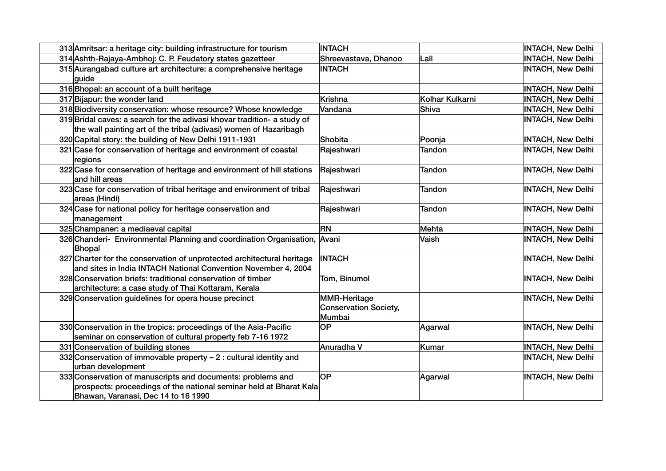| 313 Amritsar: a heritage city: building infrastructure for tourism                                                                                                       | <b>INTACH</b>                                          |                 | <b>INTACH, New Delhi</b> |
|--------------------------------------------------------------------------------------------------------------------------------------------------------------------------|--------------------------------------------------------|-----------------|--------------------------|
| 314 Ashth-Rajaya-Ambhoj: C. P. Feudatory states gazetteer                                                                                                                | Shreevastava, Dhanoo                                   | Lall            | <b>INTACH, New Delhi</b> |
| 315 Aurangabad culture art architecture: a comprehensive heritage<br>guide                                                                                               | <b>INTACH</b>                                          |                 | <b>INTACH, New Delhi</b> |
| 316 Bhopal: an account of a built heritage                                                                                                                               |                                                        |                 | <b>INTACH, New Delhi</b> |
| 317 Bijapur: the wonder land                                                                                                                                             | Krishna                                                | Kolhar Kulkarni | <b>INTACH, New Delhi</b> |
| 318 Biodiversity conservation: whose resource? Whose knowledge                                                                                                           | Vandana                                                | Shiva           | <b>INTACH, New Delhi</b> |
| 319 Bridal caves: a search for the adivasi khovar tradition- a study of<br>the wall painting art of the tribal (adivasi) women of Hazaribagh                             |                                                        |                 | <b>INTACH, New Delhi</b> |
| 320 Capital story: the building of New Delhi 1911-1931                                                                                                                   | Shobita                                                | Poonja          | <b>INTACH, New Delhi</b> |
| 321 Case for conservation of heritage and environment of coastal<br>regions                                                                                              | Rajeshwari                                             | Tandon          | <b>INTACH, New Delhi</b> |
| 322 Case for conservation of heritage and environment of hill stations<br>and hill areas                                                                                 | Rajeshwari                                             | Tandon          | <b>INTACH, New Delhi</b> |
| 323 Case for conservation of tribal heritage and environment of tribal<br>areas (Hindi)                                                                                  | Rajeshwari                                             | <b>Tandon</b>   | <b>INTACH, New Delhi</b> |
| 324 Case for national policy for heritage conservation and<br>management                                                                                                 | Rajeshwari                                             | <b>Tandon</b>   | <b>INTACH, New Delhi</b> |
| 325 Champaner: a mediaeval capital                                                                                                                                       | <b>RN</b>                                              | Mehta           | <b>INTACH, New Delhi</b> |
| 326 Chanderi- Environmental Planning and coordination Organisation,<br>Bhopal                                                                                            | Avani                                                  | Vaish           | <b>INTACH, New Delhi</b> |
| 327 Charter for the conservation of unprotected architectural heritage<br>and sites in India INTACH National Convention November 4, 2004                                 | <b>INTACH</b>                                          |                 | <b>INTACH, New Delhi</b> |
| 328 Conservation briefs: traditional conservation of timber<br>architecture: a case study of Thai Kottaram, Kerala                                                       | Tom, Binumol                                           |                 | <b>INTACH, New Delhi</b> |
| 329 Conservation guidelines for opera house precinct                                                                                                                     | <b>MMR-Heritage</b><br>Conservation Society,<br>Mumbai |                 | <b>INTACH, New Delhi</b> |
| 330 Conservation in the tropics: proceedings of the Asia-Pacific<br>seminar on conservation of cultural property feb 7-16 1972                                           | OP                                                     | Agarwal         | <b>INTACH, New Delhi</b> |
| 331 Conservation of building stones                                                                                                                                      | Anuradha V                                             | Kumar           | <b>INTACH, New Delhi</b> |
| 332 Conservation of immovable property - 2 : cultural identity and<br>urban development                                                                                  |                                                        |                 | <b>INTACH, New Delhi</b> |
| 333 Conservation of manuscripts and documents: problems and<br>prospects: proceedings of the national seminar held at Bharat Kala<br>Bhawan, Varanasi, Dec 14 to 16 1990 | OP                                                     | Agarwal         | <b>INTACH, New Delhi</b> |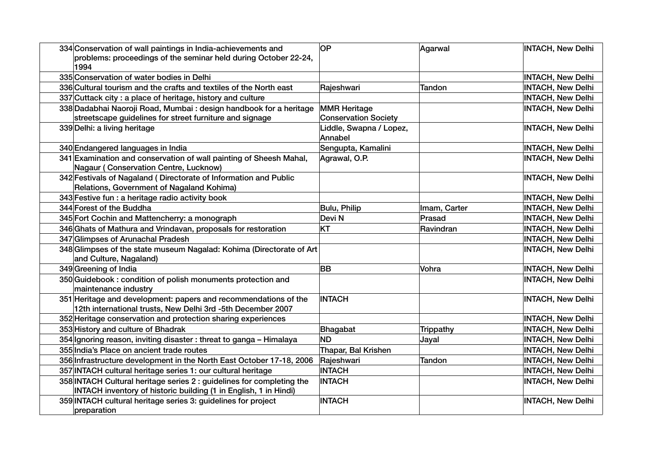| 334 Conservation of wall paintings in India-achievements and                                                                              | <b>OP</b>                                          | Agarwal       | <b>INTACH, New Delhi</b> |
|-------------------------------------------------------------------------------------------------------------------------------------------|----------------------------------------------------|---------------|--------------------------|
| problems: proceedings of the seminar held during October 22-24,<br>1994                                                                   |                                                    |               |                          |
| 335 Conservation of water bodies in Delhi                                                                                                 |                                                    |               | <b>INTACH, New Delhi</b> |
| 336 Cultural tourism and the crafts and textiles of the North east                                                                        | Rajeshwari                                         | <b>Tandon</b> | <b>INTACH, New Delhi</b> |
| 337 Cuttack city: a place of heritage, history and culture                                                                                |                                                    |               | <b>INTACH, New Delhi</b> |
| 338 Dadabhai Naoroji Road, Mumbai: design handbook for a heritage<br>streetscape guidelines for street furniture and signage              | <b>MMR Heritage</b><br><b>Conservation Society</b> |               | <b>INTACH, New Delhi</b> |
| 339 Delhi: a living heritage                                                                                                              | Liddle, Swapna / Lopez,<br>Annabel                 |               | <b>INTACH, New Delhi</b> |
| 340 Endangered languages in India                                                                                                         | Sengupta, Kamalini                                 |               | <b>INTACH, New Delhi</b> |
| 341 Examination and conservation of wall painting of Sheesh Mahal,<br><b>Nagaur (Conservation Centre, Lucknow)</b>                        | Agrawal, O.P.                                      |               | <b>INTACH, New Delhi</b> |
| 342 Festivals of Nagaland (Directorate of Information and Public<br>Relations, Government of Nagaland Kohima)                             |                                                    |               | <b>INTACH, New Delhi</b> |
| 343 Festive fun : a heritage radio activity book                                                                                          |                                                    |               | <b>INTACH, New Delhi</b> |
| 344 Forest of the Buddha                                                                                                                  | Bulu, Philip                                       | Imam, Carter  | <b>INTACH, New Delhi</b> |
| 345 Fort Cochin and Mattencherry: a monograph                                                                                             | Devi N                                             | Prasad        | <b>INTACH, New Delhi</b> |
| 346 Ghats of Mathura and Vrindavan, proposals for restoration                                                                             | <b>KT</b>                                          | Ravindran     | <b>INTACH, New Delhi</b> |
| 347 Glimpses of Arunachal Pradesh                                                                                                         |                                                    |               | <b>INTACH, New Delhi</b> |
| 348 Glimpses of the state museum Nagalad: Kohima (Directorate of Art<br>and Culture, Nagaland)                                            |                                                    |               | <b>INTACH, New Delhi</b> |
| 349 Greening of India                                                                                                                     | <b>BB</b>                                          | Vohra         | <b>INTACH, New Delhi</b> |
| 350 Guidebook: condition of polish monuments protection and<br>maintenance industry                                                       |                                                    |               | <b>INTACH, New Delhi</b> |
| 351 Heritage and development: papers and recommendations of the<br>12th international trusts, New Delhi 3rd -5th December 2007            | <b>INTACH</b>                                      |               | <b>INTACH, New Delhi</b> |
| 352 Heritage conservation and protection sharing experiences                                                                              |                                                    |               | <b>INTACH, New Delhi</b> |
| 353 History and culture of Bhadrak                                                                                                        | Bhagabat                                           | Trippathy     | <b>INTACH, New Delhi</b> |
| 354 Ignoring reason, inviting disaster: threat to ganga - Himalaya                                                                        | <b>ND</b>                                          | Jayal         | <b>INTACH, New Delhi</b> |
| 355 India's Place on ancient trade routes                                                                                                 | Thapar, Bal Krishen                                |               | <b>INTACH, New Delhi</b> |
| 356 Infrastructure development in the North East October 17-18, 2006                                                                      | Rajeshwari                                         | Tandon        | <b>INTACH, New Delhi</b> |
| 357 INTACH cultural heritage series 1: our cultural heritage                                                                              | <b>INTACH</b>                                      |               | <b>INTACH, New Delhi</b> |
| 358 INTACH Cultural heritage series 2 : guidelines for completing the<br>INTACH inventory of historic building (1 in English, 1 in Hindi) | <b>INTACH</b>                                      |               | <b>INTACH, New Delhi</b> |
| 359 INTACH cultural heritage series 3: guidelines for project<br>preparation                                                              | <b>INTACH</b>                                      |               | <b>INTACH, New Delhi</b> |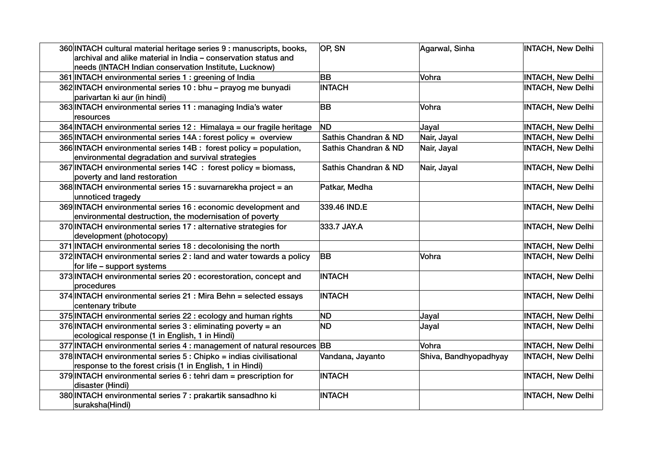| 360 INTACH cultural material heritage series 9 : manuscripts, books,<br>archival and alike material in India - conservation status and<br>needs (INTACH Indian conservation Institute, Lucknow) | OP, SN               | Agarwal, Sinha        | <b>INTACH, New Delhi</b> |
|-------------------------------------------------------------------------------------------------------------------------------------------------------------------------------------------------|----------------------|-----------------------|--------------------------|
| 361 INTACH environmental series 1 : greening of India                                                                                                                                           | <b>BB</b>            | Vohra                 | <b>INTACH, New Delhi</b> |
| 362 INTACH environmental series 10 : bhu - prayog me bunyadi<br>parivartan ki aur (in hindi)                                                                                                    | <b>INTACH</b>        |                       | <b>INTACH, New Delhi</b> |
| 363 INTACH environmental series 11 : managing India's water<br>resources                                                                                                                        | <b>BB</b>            | Vohra                 | <b>INTACH, New Delhi</b> |
| 364 INTACH environmental series 12 : Himalaya = our fragile heritage                                                                                                                            | <b>ND</b>            | Jayal                 | <b>INTACH, New Delhi</b> |
| 365 INTACH environmental series 14A : forest policy = overview                                                                                                                                  | Sathis Chandran & ND | Nair, Jayal           | <b>INTACH, New Delhi</b> |
| 366 INTACH environmental series 14B : forest policy = population,<br>environmental degradation and survival strategies                                                                          | Sathis Chandran & ND | Nair, Jayal           | <b>INTACH, New Delhi</b> |
| 367 INTACH environmental series 14C : forest policy = biomass,<br>poverty and land restoration                                                                                                  | Sathis Chandran & ND | Nair, Jayal           | <b>INTACH, New Delhi</b> |
| 368 INTACH environmental series 15 : suvarnarekha project = an<br>unnoticed tragedy                                                                                                             | Patkar, Medha        |                       | <b>INTACH, New Delhi</b> |
| 369 INTACH environmental series 16 : economic development and<br>environmental destruction, the modernisation of poverty                                                                        | 339.46 IND.E         |                       | <b>INTACH, New Delhi</b> |
| 370 INTACH environmental series 17 : alternative strategies for<br>development (photocopy)                                                                                                      | 333.7 JAY.A          |                       | <b>INTACH, New Delhi</b> |
| 371 INTACH environmental series 18 : decolonising the north                                                                                                                                     |                      |                       | <b>INTACH, New Delhi</b> |
| 372 INTACH environmental series 2 : land and water towards a policy<br>for life - support systems                                                                                               | <b>BB</b>            | Vohra                 | <b>INTACH, New Delhi</b> |
| 373 INTACH environmental series 20 : ecorestoration, concept and<br>procedures                                                                                                                  | <b>INTACH</b>        |                       | <b>INTACH, New Delhi</b> |
| 374 INTACH environmental series 21 : Mira Behn = selected essays<br>centenary tribute                                                                                                           | <b>INTACH</b>        |                       | <b>INTACH, New Delhi</b> |
| 375 INTACH environmental series 22 : ecology and human rights                                                                                                                                   | <b>ND</b>            | Jayal                 | <b>INTACH, New Delhi</b> |
| 376 INTACH environmental series 3 : eliminating poverty = an<br>ecological response (1 in English, 1 in Hindi)                                                                                  | <b>ND</b>            | Jayal                 | <b>INTACH, New Delhi</b> |
| 377 INTACH environmental series 4 : management of natural resources BB                                                                                                                          |                      | Vohra                 | <b>INTACH, New Delhi</b> |
| 378 INTACH environmental series 5 : Chipko = indias civilisational<br>response to the forest crisis (1 in English, 1 in Hindi)                                                                  | Vandana, Jayanto     | Shiva, Bandhyopadhyay | <b>INTACH, New Delhi</b> |
| 379 INTACH environmental series 6 : tehri dam = prescription for<br>disaster (Hindi)                                                                                                            | <b>INTACH</b>        |                       | <b>INTACH, New Delhi</b> |
| 380 INTACH environmental series 7 : prakartik sansadhno ki<br>suraksha(Hindi)                                                                                                                   | <b>INTACH</b>        |                       | <b>INTACH, New Delhi</b> |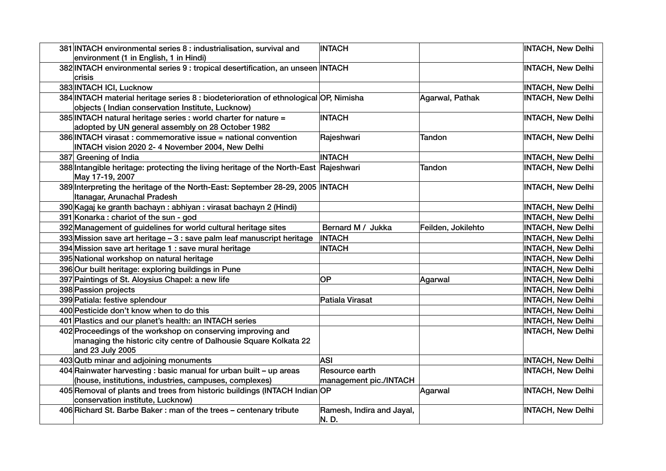| 381 INTACH environmental series 8 : industrialisation, survival and<br>environment (1 in English, 1 in Hindi)                                       | <b>INTACH</b>                            |                    | <b>INTACH, New Delhi</b> |
|-----------------------------------------------------------------------------------------------------------------------------------------------------|------------------------------------------|--------------------|--------------------------|
| 382 INTACH environmental series 9 : tropical desertification, an unseen INTACH<br>crisis                                                            |                                          |                    | <b>INTACH, New Delhi</b> |
| 383 INTACH ICI, Lucknow                                                                                                                             |                                          |                    | <b>INTACH, New Delhi</b> |
| 384 INTACH material heritage series 8 : biodeterioration of ethnological OP, Nimisha<br>objects (Indian conservation Institute, Lucknow)            |                                          | Agarwal, Pathak    | <b>INTACH, New Delhi</b> |
| 385 INTACH natural heritage series : world charter for nature =<br>adopted by UN general assembly on 28 October 1982                                | <b>INTACH</b>                            |                    | <b>INTACH, New Delhi</b> |
| 386 INTACH virasat: commemorative issue = national convention<br>INTACH vision 2020 2- 4 November 2004, New Delhi                                   | Rajeshwari                               | <b>Tandon</b>      | <b>INTACH, New Delhi</b> |
| 387 Greening of India                                                                                                                               | <b>INTACH</b>                            |                    | <b>INTACH, New Delhi</b> |
| 388 Intangible heritage: protecting the living heritage of the North-East Rajeshwari<br>May 17-19, 2007                                             |                                          | Tandon             | <b>INTACH, New Delhi</b> |
| 389 Interpreting the heritage of the North-East: September 28-29, 2005 INTACH<br>Itanagar, Arunachal Pradesh                                        |                                          |                    | <b>INTACH, New Delhi</b> |
| 390 Kagaj ke granth bachayn: abhiyan: virasat bachayn 2 (Hindi)                                                                                     |                                          |                    | <b>INTACH, New Delhi</b> |
| 391 Konarka: chariot of the sun - god                                                                                                               |                                          |                    | <b>INTACH, New Delhi</b> |
| 392 Management of guidelines for world cultural heritage sites                                                                                      | Bernard M / Jukka                        | Feilden, Jokilehto | <b>INTACH, New Delhi</b> |
| 393 Mission save art heritage - 3 : save palm leaf manuscript heritage                                                                              | <b>INTACH</b>                            |                    | <b>INTACH, New Delhi</b> |
| 394 Mission save art heritage 1 : save mural heritage                                                                                               | <b>INTACH</b>                            |                    | <b>INTACH, New Delhi</b> |
| 395 National workshop on natural heritage                                                                                                           |                                          |                    | <b>INTACH, New Delhi</b> |
| 396 Our built heritage: exploring buildings in Pune                                                                                                 |                                          |                    | <b>INTACH, New Delhi</b> |
| 397 Paintings of St. Aloysius Chapel: a new life                                                                                                    | OP                                       | Agarwal            | <b>INTACH, New Delhi</b> |
| 398 Passion projects                                                                                                                                |                                          |                    | <b>INTACH, New Delhi</b> |
| 399 Patiala: festive splendour                                                                                                                      | Patiala Virasat                          |                    | <b>INTACH, New Delhi</b> |
| 400 Pesticide don't know when to do this                                                                                                            |                                          |                    | <b>INTACH, New Delhi</b> |
| 401 Plastics and our planet's health: an INTACH series                                                                                              |                                          |                    | <b>INTACH, New Delhi</b> |
| 402 Proceedings of the workshop on conserving improving and<br>managing the historic city centre of Dalhousie Square Kolkata 22<br>and 23 July 2005 |                                          |                    | <b>INTACH, New Delhi</b> |
| 403 Qutb minar and adjoining monuments                                                                                                              | <b>ASI</b>                               |                    | <b>INTACH, New Delhi</b> |
| 404 Rainwater harvesting : basic manual for urban built - up areas<br>(house, institutions, industries, campuses, complexes)                        | Resource earth<br>management pic./INTACH |                    | <b>INTACH, New Delhi</b> |
| 405 Removal of plants and trees from historic buildings (INTACH Indian OP<br>conservation institute, Lucknow)                                       |                                          | Agarwal            | <b>INTACH, New Delhi</b> |
| 406 Richard St. Barbe Baker: man of the trees - centenary tribute                                                                                   | Ramesh, Indira and Jayal,<br>N.D.        |                    | <b>INTACH, New Delhi</b> |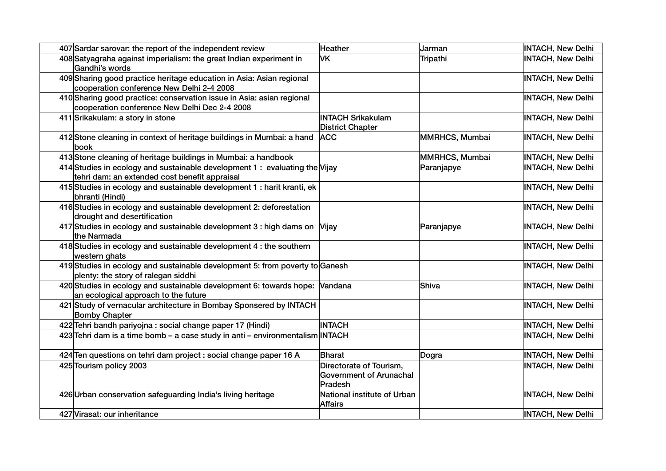| 407 Sardar sarovar: the report of the independent review                                                                     | <b>Heather</b>                                                       | Jarman         | <b>INTACH, New Delhi</b> |
|------------------------------------------------------------------------------------------------------------------------------|----------------------------------------------------------------------|----------------|--------------------------|
| 408 Satyagraha against imperialism: the great Indian experiment in<br>Gandhi's words                                         | VK                                                                   | Tripathi       | <b>INTACH, New Delhi</b> |
| 409 Sharing good practice heritage education in Asia: Asian regional<br>cooperation conference New Delhi 2-4 2008            |                                                                      |                | <b>INTACH, New Delhi</b> |
| 410 Sharing good practice: conservation issue in Asia: asian regional<br>cooperation conference New Delhi Dec 2-4 2008       |                                                                      |                | <b>INTACH, New Delhi</b> |
| 411 Srikakulam: a story in stone                                                                                             | <b>INTACH Srikakulam</b><br><b>District Chapter</b>                  |                | <b>INTACH, New Delhi</b> |
| 412 Stone cleaning in context of heritage buildings in Mumbai: a hand<br>book                                                | <b>ACC</b>                                                           | MMRHCS, Mumbai | <b>INTACH, New Delhi</b> |
| 413 Stone cleaning of heritage buildings in Mumbai: a handbook                                                               |                                                                      | MMRHCS, Mumbai | <b>INTACH, New Delhi</b> |
| 414 Studies in ecology and sustainable development 1 : evaluating the Vijay<br>tehri dam: an extended cost benefit appraisal |                                                                      | Paranjapye     | <b>INTACH, New Delhi</b> |
| 415 Studies in ecology and sustainable development 1 : harit kranti, ek<br>bhranti (Hindi)                                   |                                                                      |                | <b>INTACH, New Delhi</b> |
| 416 Studies in ecology and sustainable development 2: deforestation<br>drought and desertification                           |                                                                      |                | <b>INTACH, New Delhi</b> |
| 417 Studies in ecology and sustainable development 3 : high dams on Vijay<br>the Narmada                                     |                                                                      | Paranjapye     | <b>INTACH, New Delhi</b> |
| 418 Studies in ecology and sustainable development 4 : the southern<br>western ghats                                         |                                                                      |                | <b>INTACH, New Delhi</b> |
| 419 Studies in ecology and sustainable development 5: from poverty to Ganesh<br>plenty: the story of ralegan siddhi          |                                                                      |                | <b>INTACH, New Delhi</b> |
| 420 Studies in ecology and sustainable development 6: towards hope: Vandana<br>an ecological approach to the future          |                                                                      | Shiva          | <b>INTACH, New Delhi</b> |
| 421 Study of vernacular architecture in Bombay Sponsered by INTACH<br><b>Bomby Chapter</b>                                   |                                                                      |                | <b>INTACH, New Delhi</b> |
| 422 Tehri bandh pariyojna : social change paper 17 (Hindi)                                                                   | <b>INTACH</b>                                                        |                | <b>INTACH, New Delhi</b> |
| 423 Tehri dam is a time bomb - a case study in anti - environmentalism INTACH                                                |                                                                      |                | <b>INTACH, New Delhi</b> |
| 424 Ten questions on tehri dam project : social change paper 16 A                                                            | <b>Bharat</b>                                                        | Dogra          | <b>INTACH, New Delhi</b> |
| 425 Tourism policy 2003                                                                                                      | Directorate of Tourism,<br><b>Government of Arunachal</b><br>Pradesh |                | <b>INTACH, New Delhi</b> |
| 426 Urban conservation safeguarding India's living heritage                                                                  | National institute of Urban<br><b>Affairs</b>                        |                | <b>INTACH, New Delhi</b> |
| 427 Virasat: our inheritance                                                                                                 |                                                                      |                | <b>INTACH, New Delhi</b> |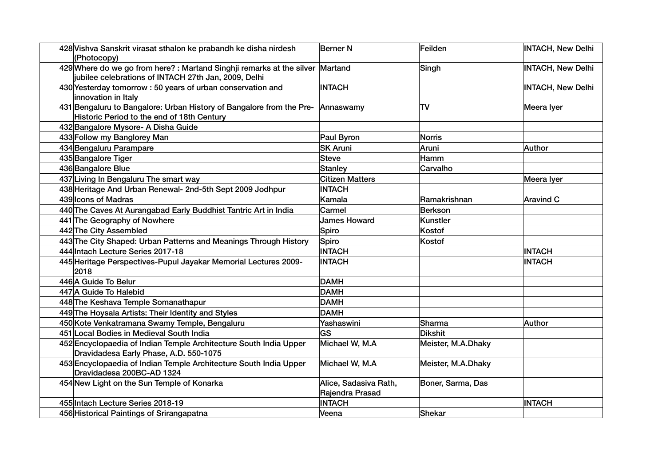| 428 Vishva Sanskrit virasat sthalon ke prabandh ke disha nirdesh<br>(Photocopy)                                                      | <b>Berner N</b>                          | Feilden            | <b>INTACH, New Delhi</b> |
|--------------------------------------------------------------------------------------------------------------------------------------|------------------------------------------|--------------------|--------------------------|
| 429 Where do we go from here?: Martand Singhji remarks at the silver Martand<br>jubilee celebrations of INTACH 27th Jan, 2009, Delhi |                                          | Singh              | <b>INTACH, New Delhi</b> |
| 430 Yesterday tomorrow: 50 years of urban conservation and<br>innovation in Italy                                                    | <b>INTACH</b>                            |                    | <b>INTACH, New Delhi</b> |
| 431 Bengaluru to Bangalore: Urban History of Bangalore from the Pre-<br>Historic Period to the end of 18th Century                   | Annaswamy                                | <b>TV</b>          | Meera lyer               |
| 432 Bangalore Mysore- A Disha Guide                                                                                                  |                                          |                    |                          |
| 433 Follow my Banglorey Man                                                                                                          | Paul Byron                               | Norris             |                          |
| 434 Bengaluru Parampare                                                                                                              | <b>SK Aruni</b>                          | Aruni              | Author                   |
| 435 Bangalore Tiger                                                                                                                  | <b>Steve</b>                             | Hamm               |                          |
| 436 Bangalore Blue                                                                                                                   | <b>Stanley</b>                           | Carvalho           |                          |
| 437 Living In Bengaluru The smart way                                                                                                | <b>Citizen Matters</b>                   |                    | Meera Iyer               |
| 438 Heritage And Urban Renewal- 2nd-5th Sept 2009 Jodhpur                                                                            | <b>INTACH</b>                            |                    |                          |
| 439 Icons of Madras                                                                                                                  | Kamala                                   | Ramakrishnan       | <b>Aravind C</b>         |
| 440 The Caves At Aurangabad Early Buddhist Tantric Art in India                                                                      | Carmel                                   | Berkson            |                          |
| 441 The Geography of Nowhere                                                                                                         | <b>James Howard</b>                      | Kunstler           |                          |
| 442 The City Assembled                                                                                                               | Spiro                                    | Kostof             |                          |
| 443 The City Shaped: Urban Patterns and Meanings Through History                                                                     | Spiro                                    | Kostof             |                          |
| 444 Intach Lecture Series 2017-18                                                                                                    | <b>INTACH</b>                            |                    | <b>INTACH</b>            |
| 445 Heritage Perspectives-Pupul Jayakar Memorial Lectures 2009-<br>2018                                                              | <b>INTACH</b>                            |                    | <b>INTACH</b>            |
| 446 A Guide To Belur                                                                                                                 | <b>DAMH</b>                              |                    |                          |
| 447 A Guide To Halebid                                                                                                               | <b>DAMH</b>                              |                    |                          |
| 448 The Keshava Temple Somanathapur                                                                                                  | <b>DAMH</b>                              |                    |                          |
| 449 The Hoysala Artists: Their Identity and Styles                                                                                   | <b>DAMH</b>                              |                    |                          |
| 450 Kote Venkatramana Swamy Temple, Bengaluru                                                                                        | Yashaswini                               | Sharma             | Author                   |
| 451 Local Bodies in Medieval South India                                                                                             | <b>GS</b>                                | <b>Dikshit</b>     |                          |
| 452 Encyclopaedia of Indian Temple Architecture South India Upper<br>Dravidadesa Early Phase, A.D. 550-1075                          | Michael W, M.A                           | Meister, M.A.Dhaky |                          |
| 453 Encyclopaedia of Indian Temple Architecture South India Upper<br>Dravidadesa 200BC-AD 1324                                       | Michael W, M.A                           | Meister, M.A.Dhaky |                          |
| 454 New Light on the Sun Temple of Konarka                                                                                           | Alice, Sadasiva Rath,<br>Rajendra Prasad | Boner, Sarma, Das  |                          |
| 455 Intach Lecture Series 2018-19                                                                                                    | <b>INTACH</b>                            |                    | <b>INTACH</b>            |
| 456 Historical Paintings of Srirangapatna                                                                                            | Veena                                    | Shekar             |                          |